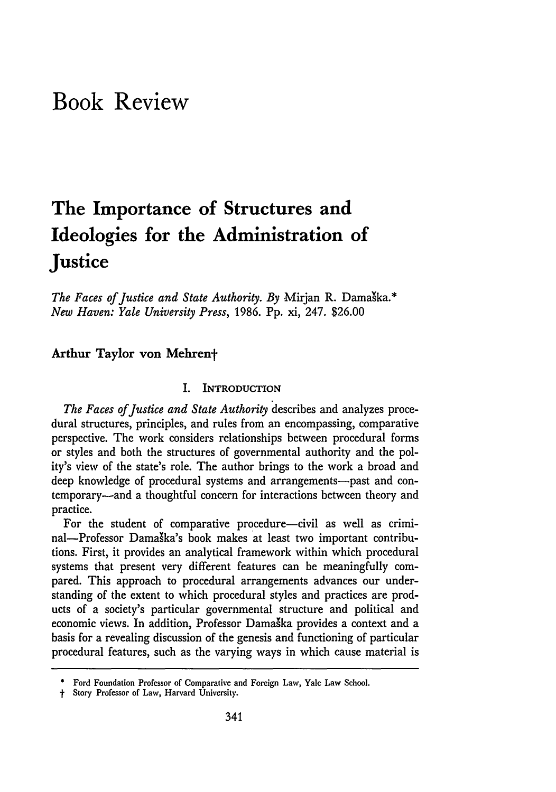# **Book Review**

# **The Importance of Structures and Ideologies for the Administration of Justice**

The Faces of Justice and State Authority. By Mirjan R. Damaška.\* *New Haven: Yale University Press,* 1986. Pp. xi, 247. \$26.00

### **Arthur Taylor von Mehrent**

#### **I. INTRODUCTION**

*The Faces of Justice and State Authority* describes and analyzes procedural structures, principles, and rules from an encompassing, comparative perspective. The work considers relationships between procedural forms or styles and both the structures of governmental authority and the polity's view of the state's role. The author brings to the work a broad and deep knowledge of procedural systems and arrangements--past and contemporary-and a thoughtful concern for interactions between theory and practice.

For the student of comparative procedure-civil as well as criminal-Professor Damaška's book makes at least two important contributions. First, it provides an analytical framework within which procedural systems that present very different features can be meaningfully compared. This approach to procedural arrangements advances our understanding of the extent to which procedural styles and practices are products of a society's particular governmental structure and political and economic views. In addition, Professor Damaska provides a context and a basis for a revealing discussion of the genesis and functioning of particular procedural features, such as the varying ways in which cause material is

Ford Foundation Professor of Comparative and Foreign Law, Yale Law School.

*t* Story Professor of Law, Harvard University.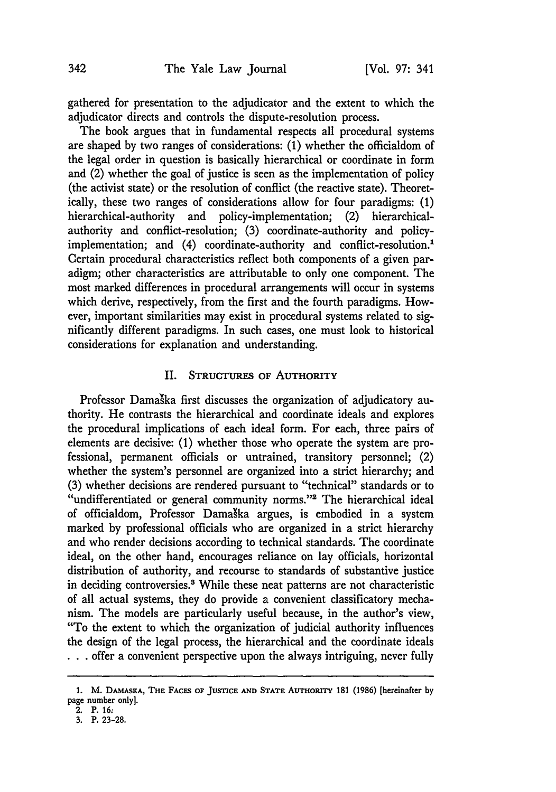gathered for presentation to the adjudicator and the extent to which the adjudicator directs and controls the dispute-resolution process.

The book argues that in fundamental respects all procedural systems are shaped by two ranges of considerations: (1) whether the officialdom of the legal order in question is basically hierarchical or coordinate in form and (2) whether the goal of justice is seen as the implementation of policy (the activist state) or the resolution of conflict (the reactive state). Theoretically, these two ranges of considerations allow for four paradigms: (1) hierarchical-authority and policy-implementation; (2) hierarchicalauthority and conflict-resolution; (3) coordinate-authority and policyimplementation; and (4) coordinate-authority and conflict-resolution.<sup>1</sup> Certain procedural characteristics reflect both components of a given paradigm; other characteristics are attributable to only one component. The most marked differences in procedural arrangements will occur in systems which derive, respectively, from the first and the fourth paradigms. However, important similarities may exist in procedural systems related to significantly different paradigms. In such cases, one must look to historical considerations for explanation and understanding.

#### II. **STRUCTURES OF AUTHORITY**

Professor Damaška first discusses the organization of adjudicatory authority. He contrasts the hierarchical and coordinate ideals and explores the procedural implications of each ideal form. For each, three pairs of elements are decisive: **(1)** whether those who operate the system are professional, permanent officials or untrained, transitory personnel; (2) whether the system's personnel are organized into a strict hierarchy; and (3) whether decisions are rendered pursuant to "technical" standards or to "undifferentiated or general community norms."<sup>2</sup> The hierarchical ideal of officialdom, Professor Damaška argues, is embodied in a system marked by professional officials who are organized in a strict hierarchy and who render decisions according to technical standards. The coordinate ideal, on the other hand, encourages reliance on lay officials, horizontal distribution of authority, and recourse to standards of substantive justice in deciding controversies.<sup>8</sup> While these neat patterns are not characteristic of all actual systems, they do provide a convenient classificatory mechanism. The models are particularly useful because, in the author's view, "To the extent to which the organization of judicial authority influences the design of the legal process, the hierarchical and the coordinate ideals **• . .** offer a convenient perspective upon the always intriguing, never fully

**<sup>1.</sup>** M. **DAMASKA, THE FACES OF JUSTICE AND STATE AUTHORITY** 181 **(1986)** [hereinafter by page number only].

<sup>2.</sup> P. **16;**

<sup>3.</sup> P. 23-28.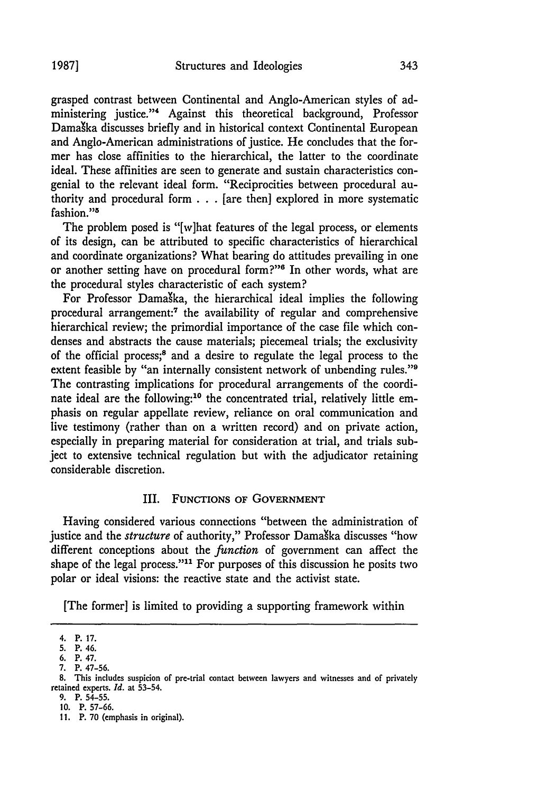grasped contrast between Continental and Anglo-American styles of administering justice."" Against this theoretical background, Professor Damaka discusses briefly and in historical context Continental European and Anglo-American administrations of justice. He concludes that the former has close affinities to the hierarchical, the latter to the coordinate ideal. These affinities are seen to generate and sustain characteristics congenial to the relevant ideal form. "Reciprocities between procedural authority and procedural form  $\ldots$  [are then] explored in more systematic fashion."'

The problem posed is "[w]hat features of the legal process, or elements of its design, can be attributed to specific characteristics of hierarchical and coordinate organizations? What bearing do attitudes prevailing in one or another setting have on procedural form?"<sup>6</sup> In other words, what are the procedural styles characteristic of each system?

For Professor Damaka, the hierarchical ideal implies the following procedural arrangement:7 the availability of regular and comprehensive hierarchical review; the primordial importance of the case file which condenses and abstracts the cause materials; piecemeal trials; the exclusivity of the official process;8 and a desire to regulate the legal process to the extent feasible by "an internally consistent network of unbending rules."<sup>9</sup> The contrasting implications for procedural arrangements of the coordinate ideal are the following:<sup>10</sup> the concentrated trial, relatively little emphasis on regular appellate review, reliance on oral communication and live testimony (rather than on a written record) and on private action, especially in preparing material for consideration at trial, and trials subject to extensive technical regulation but with the adjudicator retaining considerable discretion.

#### III. **FUNCTIONS OF GOVERNMENT**

Having considered various connections "between the administration of justice and the *structure* of authority," Professor Damaška discusses "how different conceptions about the *function* of government can affect the shape of the legal process."<sup>11</sup> For purposes of this discussion he posits two polar or ideal visions: the reactive state and the activist state.

[The former] is limited to providing a supporting framework within

<sup>4.</sup> P. **17.**

**<sup>5.</sup>** P. 46.

**<sup>6.</sup>** P. 47.

**<sup>7.</sup>** P. **47-56.**

**<sup>8.</sup>** This includes suspicion of pre-trial contact between lawyers and witnesses and of privately retained experts. *Id.* at **53-54.**

**<sup>9.</sup> P. 54-55.**

**<sup>10.</sup>** P. **57-66.**

**<sup>11.</sup>** P. **70** (emphasis in original).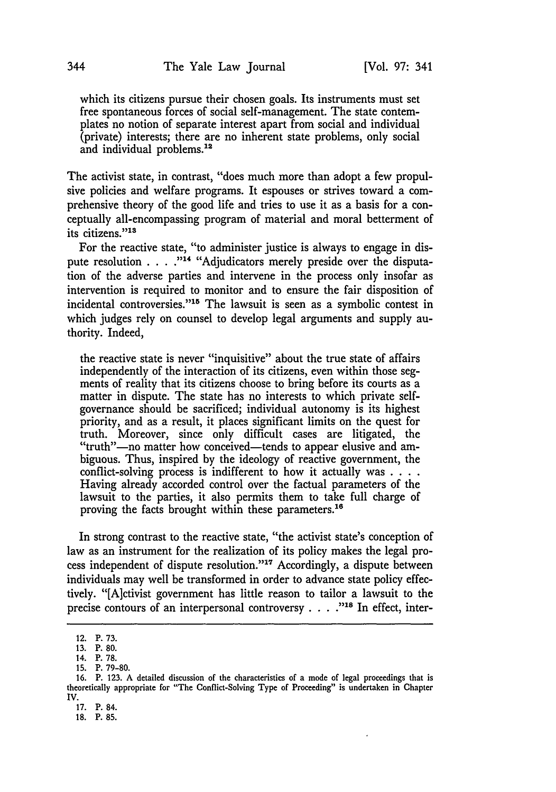which its citizens pursue their chosen goals. Its instruments must set free spontaneous forces of social self-management. The state contemplates no notion of separate interest apart from social and individual (private) interests; there are no inherent state problems, only social and individual problems.12

The activist state, in contrast, "does much more than adopt a few propulsive policies and welfare programs. It espouses or strives toward a comprehensive theory of the good life and tries to use it as a basis for a conceptually all-encompassing program of material and moral betterment of its citizens."<sup>13</sup>

For the reactive state, "to administer justice is always to engage in dispute resolution . . . . "<sup>14</sup> "Adjudicators merely preside over the disputation of the adverse parties and intervene in the process only insofar as intervention is required to monitor and to ensure the fair disposition of incidental controversies."<sup>15</sup> The lawsuit is seen as a symbolic contest in which judges rely on counsel to develop legal arguments and supply authority. Indeed,

the reactive state is never "inquisitive" about the true state of affairs independently of the interaction of its citizens, even within those segments of reality that its citizens choose to bring before its courts as a matter in dispute. The state has no interests to which private selfgovernance should be sacrificed; individual autonomy is its highest priority, and as a result, it places significant limits on the quest for truth. Moreover, since only difficult cases are litigated, the "truth"-no matter how conceived-tends to appear elusive and ambiguous. Thus, inspired by the ideology of reactive government, the conflict-solving process is indifferent to how it actually was **....** Having already accorded control over the factual parameters of the lawsuit to the parties, it also permits them to take full charge of proving the facts brought within these parameters."6

In strong contrast to the reactive state, "the activist state's conception of law as an instrument for the realization of its policy makes the legal process independent of dispute resolution."<sup>17</sup> Accordingly, a dispute between individuals may well be transformed in order to advance state policy effectively. "[A]ctivist government has little reason to tailor a lawsuit to the precise contours of an interpersonal controversy . . . . <sup>218</sup> In effect, inter-

17. P. 84.

<sup>12.</sup> P. 73.

<sup>13.</sup> P. 80.

<sup>14.</sup> P. 78.

<sup>15.</sup> P. 79-80.

<sup>16.</sup> P. 123. A detailed discussion of the characteristics of a mode of legal proceedings that is theoretically appropriate for "The Conflict-Solving Type of Proceeding" is undertaken in Chapter IV.

**<sup>18.</sup>** P. **85.**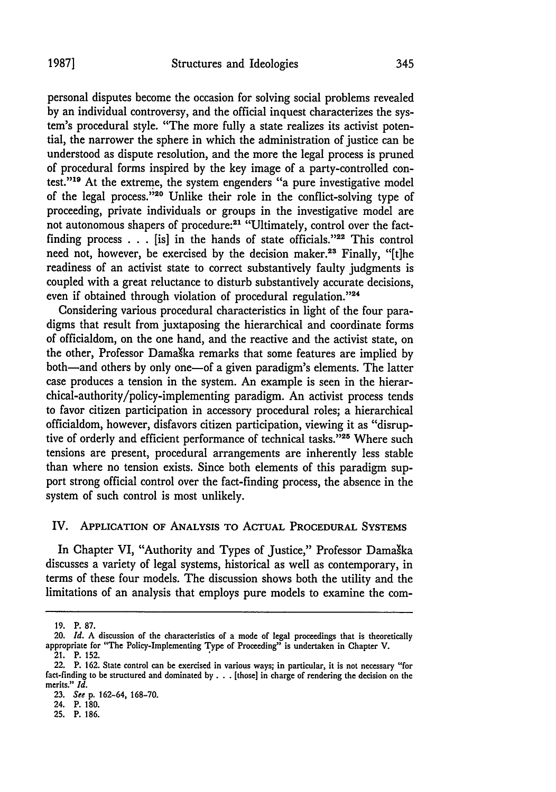personal disputes become the occasion for solving social problems revealed by an individual controversy, and the official inquest characterizes the system's procedural style. "The more fully a state realizes its activist potential, the narrower the sphere in which the administration of justice can be understood as dispute resolution, and the more the legal process is pruned of procedural forms inspired by the key image of a party-controlled contest."19 At the extreme, the system engenders "a pure investigative model of the legal process."<sup>20</sup> Unlike their role in the conflict-solving type of proceeding, private individuals or groups in the investigative model are not autonomous shapers of procedure:<sup>21</sup> "Ultimately, control over the factfinding process  $\ldots$  [is] in the hands of state officials."<sup>22</sup> This control need not, however, be exercised by the decision maker.<sup>23</sup> Finally, "[t]he readiness of an activist state to correct substantively faulty judgments is coupled with a great reluctance to disturb substantively accurate decisions, even if obtained through violation of procedural regulation."24

Considering various procedural characteristics in light of the four paradigms that result from juxtaposing the hierarchical and coordinate forms of officialdom, on the one hand, and the reactive and the activist state, on the other, Professor Damaška remarks that some features are implied by both-and others by only one-of a given paradigm's elements. The latter case produces a tension in the system. An example is seen in the hierarchical-authority/policy-implementing paradigm. An activist process tends to favor citizen participation in accessory procedural roles; a hierarchical officialdom, however, disfavors citizen participation, viewing it as "disruptive of orderly and efficient performance of technical tasks."<sup>25</sup> Where such tensions are present, procedural arrangements are inherently less stable than where no tension exists. Since both elements of this paradigm support strong official control over the fact-finding process, the absence in the system of such control is most unlikely.

#### IV. APPLICATION OF ANALYSIS TO **ACTUAL** PROCEDURAL **SYSTEMS**

In Chapter VI, "Authority and Types of Justice," Professor Damaška discusses a variety of legal systems, historical as well as contemporary, in terms of these four models. The discussion shows both the utility and the limitations of an analysis that employs pure models to examine the com-

**<sup>19.</sup>** P. **87.**

<sup>20.</sup> *Id.* A discussion of the characteristics of a mode of legal proceedings that is theoretically appropriate for "The Policy-Implementing Type of Proceeding" is undertaken in Chapter **V.**

<sup>21.</sup> P. 152. 22. P. 162. State control can be exercised in various ways; in particular, it is not necessary "for fact-finding to **be** structured and dominated by **...** [those] in charge of rendering the decision on the merits." *Id.*

**<sup>23.</sup>** *See* p. 162-64, 168-70.

<sup>24.</sup> P. 180.

<sup>25.</sup> P. **186.**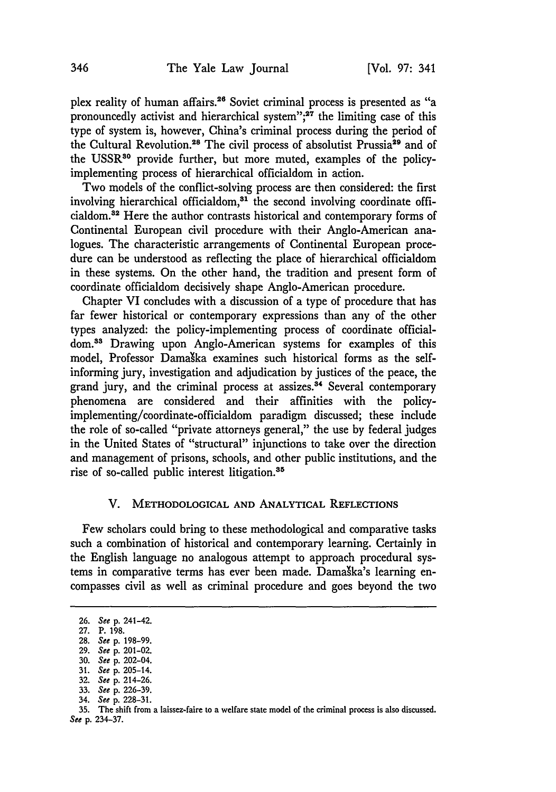plex reality of human affairs.<sup>26</sup> Soviet criminal process is presented as "a pronouncedly activist and hierarchical system";<sup>27</sup> the limiting case of this type of system is, however, China's criminal process during the period of the Cultural Revolution.<sup>28</sup> The civil process of absolutist Prussia<sup>29</sup> and of the USSR<sup>30</sup> provide further, but more muted, examples of the policyimplementing process of hierarchical officialdom in action.

Two models of the conflict-solving process are then considered: the first involving hierarchical officialdom,<sup>31</sup> the second involving coordinate officialdom.82 Here the author contrasts historical and contemporary forms of Continental European civil procedure with their Anglo-American analogues. The characteristic arrangements of Continental European procedure can be understood as reflecting the place of hierarchical officialdom in these systems. On the other hand, the tradition and present form of coordinate officialdom decisively shape Anglo-American procedure.

Chapter VI concludes with a discussion of a type of procedure that has far fewer historical or contemporary expressions than any of the other types analyzed: the policy-implementing process of coordinate officialdom.<sup>33</sup> Drawing upon Anglo-American systems for examples of this model, Professor Damaška examines such historical forms as the selfinforming jury, investigation and adjudication by justices of the peace, the grand jury, and the criminal process at assizes.<sup>34</sup> Several contemporary phenomena are considered and their affinities with the policyimplementing/coordinate-officialdom paradigm discussed; these include the role of so-called "private attorneys general," the use by federal judges in the United States of "structural" injunctions to take over the direction and management of prisons, schools, and other public institutions, and the rise of so-called public interest litigation.<sup>35</sup>

#### V. METHODOLOGICAL **AND ANALYTICAL** REFLECTIONS

Few scholars could bring to these methodological and comparative tasks such a combination of historical and contemporary learning. Certainly in the English language no analogous attempt to approach procedural systems in comparative terms has ever been made. Damaška's learning encompasses civil as well as criminal procedure and goes beyond the two

**31.** See **p.** 205-14.

34. See **p. 228-31.**

**<sup>26.</sup>** See **p.** 241-42.

**<sup>27.</sup> P. 198.**

**<sup>28.</sup>** See **p. 198-99.**

**<sup>29.</sup>** See **p.** 201-02.

**<sup>30.</sup>** See **p.** 202-04.

**<sup>32.</sup>** See **p.** 214-26.

**<sup>33.</sup>** See **p. 226-39.**

**<sup>35.</sup>** The shift from a laissez-faire to a welfare **state** model of the criminal process is also discussed. See **p. 234-37.**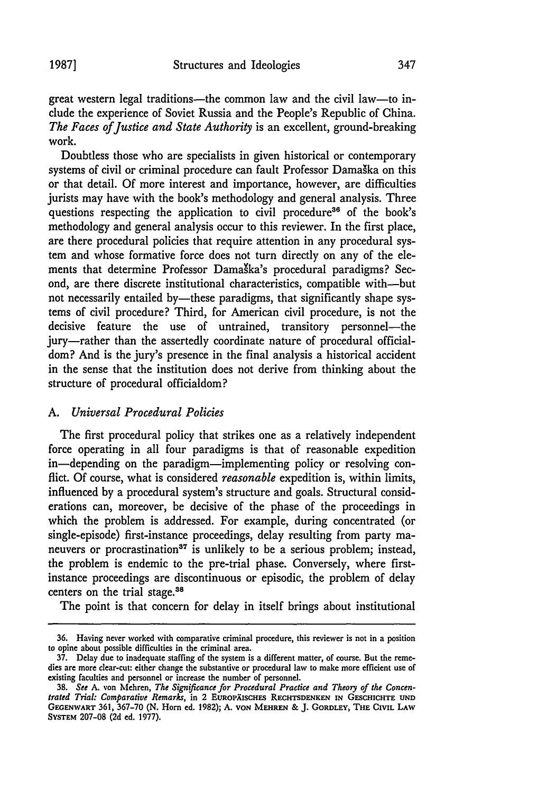great western legal traditions—the common law and the civil law—to include the experience of Soviet Russia and the People's Republic of China. *The Faces of Justice and State Authority* is an excellent, ground-breaking work.

Doubtless those who are specialists in given historical or contemporary systems of civil or criminal procedure can fault Professor Damaška on this or that detail. Of more interest and importance, however, are difficulties jurists may have with the book's methodology and general analysis. Three questions respecting the application to civil procedure<sup>36</sup> of the book's methodology and general analysis occur to this reviewer. In the first place, are there procedural policies that require attention in any procedural system and whose formative force does not turn directly on any of the elements that determine Professor Damaška's procedural paradigms? Second, are there discrete institutional characteristics, compatible with-but not necessarily entailed by—these paradigms, that significantly shape systems of civil procedure? Third, for American civil procedure, is not the decisive feature the use of untrained, transitory personnel—the jury-rather than the assertedly coordinate nature of procedural officialdom? And is the jury's presence in the final analysis a historical accident in the sense that the institution does not derive from thinking about the structure of procedural officialdom?

# *A. Universal Procedural Policies*

The first procedural policy that strikes one as a relatively independent force operating in all four paradigms is that of reasonable expedition in-depending on the paradigm-implementing policy or resolving conflict. Of course, what is considered *reasonable* expedition is, within limits, influenced by a procedural system's structure and goals. Structural considerations can, moreover, be decisive of the phase of the proceedings in which the problem is addressed. For example, during concentrated (or single-episode) first-instance proceedings, delay resulting from party maneuvers or procrastination<sup>37</sup> is unlikely to be a serious problem; instead, the problem is endemic to the pre-trial phase. Conversely, where firstinstance proceedings are discontinuous or episodic, the problem of delay centers on the trial stage.<sup>38</sup>

The point is that concern for delay in itself brings about institutional

**<sup>36.</sup>** Having never worked with comparative criminal procedure, this reviewer is not in a position to opine about possible difficulties in the criminal area.

<sup>37.</sup> Delay due to inadequate staffing of the system is a different matter, of course. But the remedies are more clear-cut: either change the substantive or procedural law to make more efficient use of existing faculties and personnel or increase the number of personnel.

<sup>38.</sup> *See* A. von Mehren, *The Significance for Procedural Practice and Theory of the Concentrated Trial. Comparative Remarks,* in 2 **EUROPXISCHES RECHTSDENKEN IN GESCHICHTE UND GFENWART** 361, 367-70 (N. Horn ed. 1982); A. **VON MEHRFN** & J. GORDLEY, **THE** CIVIL LAW SYSTEM 207-08 (2d ed. 1977).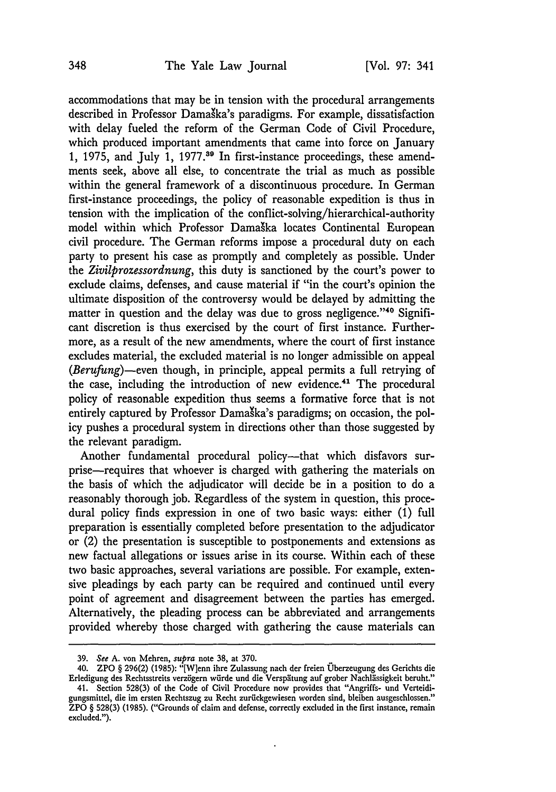accommodations that may be in tension with the procedural arrangements described in Professor Damaška's paradigms. For example, dissatisfaction with delay fueled the reform of the German Code of Civil Procedure, which produced important amendments that came into force on January 1, 1975, and July 1, 1977.<sup>39</sup> In first-instance proceedings, these amendments seek, above all else, to concentrate the trial as much as possible within the general framework of a discontinuous procedure. In German first-instance proceedings, the policy of reasonable expedition is thus in tension with the implication of the conflict-solving/hierarchical-authority model within which Professor Damaka locates Continental European civil procedure. The German reforms impose a procedural duty on each party to present his case as promptly and completely as possible. Under the *Zivilprozessordnung,* this duty is sanctioned by the court's power to exclude claims, defenses, and cause material if "in the court's opinion the ultimate disposition of the controversy would be delayed by admitting the matter in question and the delay was due to gross negligence."<sup>40</sup> Significant discretion is thus exercised by the court of first instance. Furthermore, as a result of the new amendments, where the court of first instance excludes material, the excluded material is no longer admissible on appeal *(Berufung)-even* though, in principle, appeal permits a full retrying of the case, including the introduction of new evidence.<sup>41</sup> The procedural policy of reasonable expedition thus seems a formative force that is not entirely captured by Professor Damaška's paradigms; on occasion, the policy pushes a procedural system in directions other than those suggested by the relevant paradigm.

Another fundamental procedural policy---that which disfavors surprise-requires that whoever is charged with gathering the materials on the basis of which the adjudicator will decide be in a position to do a reasonably thorough job. Regardless of the system in question, this procedural policy finds expression in one of two basic ways: either (1) full preparation is essentially completed before presentation to the adjudicator or (2) the presentation is susceptible to postponements and extensions as new factual allegations or issues arise in its course. Within each of these two basic approaches, several variations are possible. For example, extensive pleadings by each party can be required and continued until every point of agreement and disagreement between the parties has emerged. Alternatively, the pleading process can be abbreviated and arrangements provided whereby those charged with gathering the cause materials can

**<sup>39.</sup>** See A. von Mehren, supra note **38,** at **370.**

<sup>40.</sup> ZPO § 296(2) (1985): "[W]enn ihre Zulassung nach der freien Uberzeugung des Gerichts die Erledigung des Rechtsstreits verzögern würde und die Verspätung auf grober Nachlässigkeit beruht."

<sup>41.</sup> Section 528(3) of the Code of Civil Procedure now provides that "Angriffs- und Verteidigungsmittel, die im ersten Rechtszug zu Recht zurückgewiesen worden sind, bleiben ausgeschlossen." ZPO § 528(3) (1985). ("Grounds of claim and defense, correctly excluded in the first instance, remain excluded.").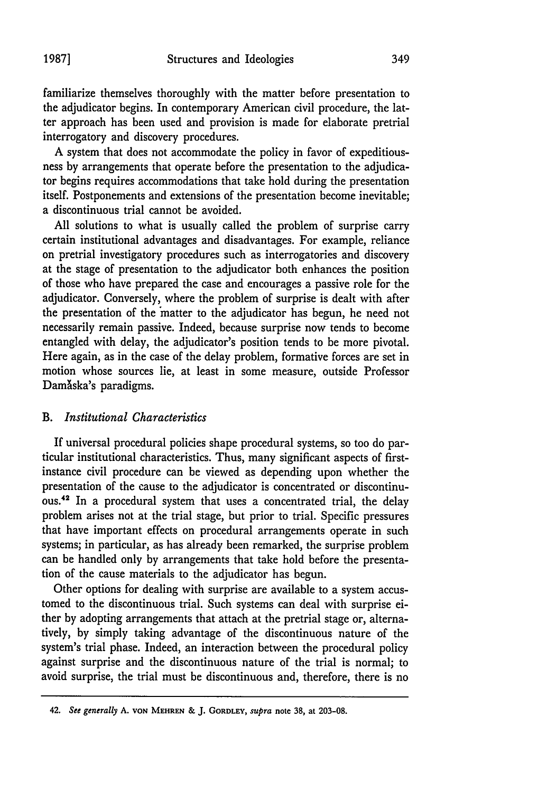familiarize themselves thoroughly with the matter before presentation to the adjudicator begins. In contemporary American civil procedure, the latter approach has been used and provision is made for elaborate pretrial interrogatory and discovery procedures.

A system that does not accommodate the policy in favor of expeditiousness by arrangements that operate before the presentation to the adjudicator begins requires accommodations that take hold during the presentation itself. Postponements and extensions of the presentation become inevitable; a discontinuous trial cannot be avoided.

All solutions to what is usually called the problem of surprise carry certain institutional advantages and disadvantages. For example, reliance on pretrial investigatory procedures such as interrogatories and discovery at the stage of presentation to the adjudicator both enhances the position of those who have prepared the case and encourages a passive role for the adjudicator. Conversely, where the problem of surprise is dealt with after the presentation of the 'matter to the adjudicator has begun, he need not necessarily remain passive. Indeed, because surprise now tends to become entangled with delay, the adjudicator's position tends to be more pivotal. Here again, as in the case of the delay problem, formative forces are set in motion whose sources lie, at least in some measure, outside Professor Damăska's paradigms.

## *B. Institutional Characteristics*

If universal procedural policies shape procedural systems, so too do particular institutional characteristics. Thus, many significant aspects of firstinstance civil procedure can be viewed as depending upon whether the presentation of the cause to the adjudicator is concentrated or discontinuous.42 In a procedural system that uses a concentrated trial, the delay problem arises not at the trial stage, but prior to trial. Specific pressures that have important effects on procedural arrangements operate in such systems; in particular, as has already been remarked, the surprise problem can be handled only by arrangements that take hold before the presentation of the cause materials to the adjudicator has begun.

Other options for dealing with surprise are available to a system accustomed to the discontinuous trial. Such systems can deal with surprise either by adopting arrangements that attach at the pretrial stage or, alternatively, by simply taking advantage of the discontinuous nature of the system's trial phase. Indeed, an interaction between the procedural policy against surprise and the discontinuous nature of the trial is normal; to avoid surprise, the trial must be discontinuous and, therefore, there is no

<sup>42.</sup> *See generally* **A. VON MEHREN** *&* **J. GORDLEY,** *supra* note **38,** at **203-08.**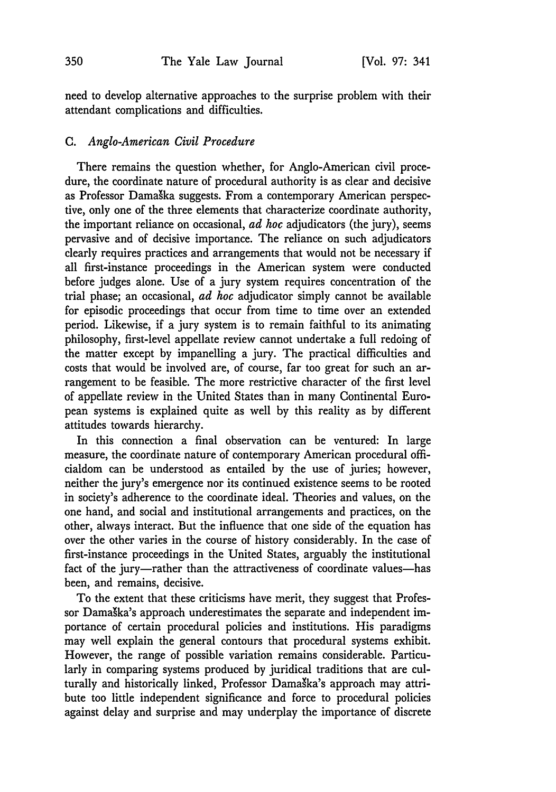need to develop alternative approaches to the surprise problem with their attendant complications and difficulties.

### C. *Anglo-American Civil Procedure*

There remains the question whether, for Anglo-American civil procedure, the coordinate nature of procedural authority is as clear and decisive as Professor Damaka suggests. From a contemporary American perspective, only one of the three elements that characterize coordinate authority, the important reliance on occasional, *ad hoc* adjudicators (the jury), seems pervasive and of decisive importance. The reliance on such adjudicators clearly requires practices and arrangements that would not be necessary if all first-instance proceedings in the American system were conducted before judges alone. Use of a jury system requires concentration of the trial phase; an occasional, *ad hoc* adjudicator simply cannot be available for episodic proceedings that occur from time to time over an extended period. Likewise, if a jury system is to remain faithful to its animating philosophy, first-level appellate review cannot undertake a full redoing of the matter except by impanelling a jury. The practical difficulties and costs that would be involved are, of course, far too great for such an arrangement to be feasible. The more restrictive character of the first level of appellate review in the United States than in many Continental European systems is explained quite as well by this reality as by different attitudes towards hierarchy.

In this connection a final observation can be ventured: In large measure, the coordinate nature of contemporary American procedural officialdom can be understood as entailed by the use of juries; however, neither the jury's emergence nor its continued existence seems to be rooted in society's adherence to the coordinate ideal. Theories and values, on the one hand, and social and institutional arrangements and practices, on the other, always interact. But the influence that one side of the equation has over the other varies in the course of history considerably. In the case of first-instance proceedings in the United States, arguably the institutional fact of the jury-rather than the attractiveness of coordinate values-has been, and remains, decisive.

To the extent that these criticisms have merit, they suggest that Professor Damaška's approach underestimates the separate and independent importance of certain procedural policies and institutions. His paradigms may well explain the general contours that procedural systems exhibit. However, the range of possible variation remains considerable. Particularly in comparing systems produced by juridical traditions that are culturally and historically linked, Professor Damaška's approach may attribute too little independent significance and force to procedural policies against delay and surprise and may underplay the importance of discrete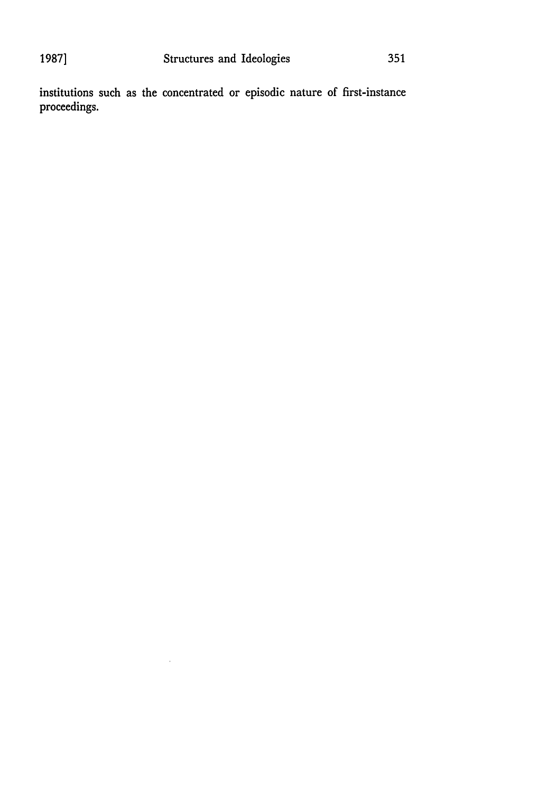institutions such as the concentrated or episodic nature of first-instance proceedings.